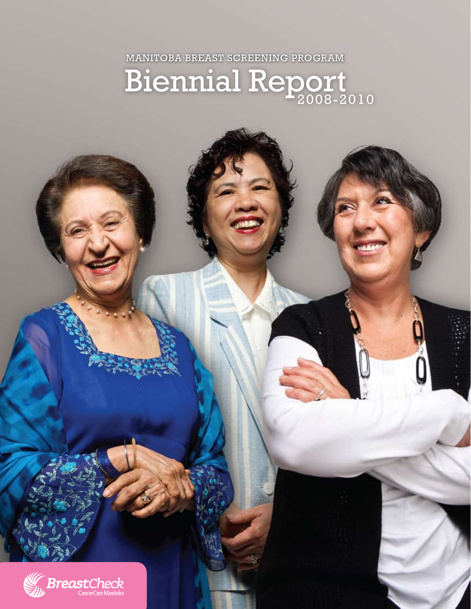# MANITOBA BREAST SCREENING PROGRAM

# Biennial Report

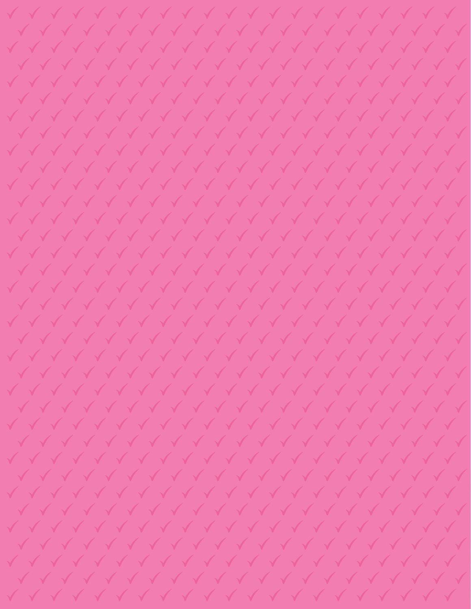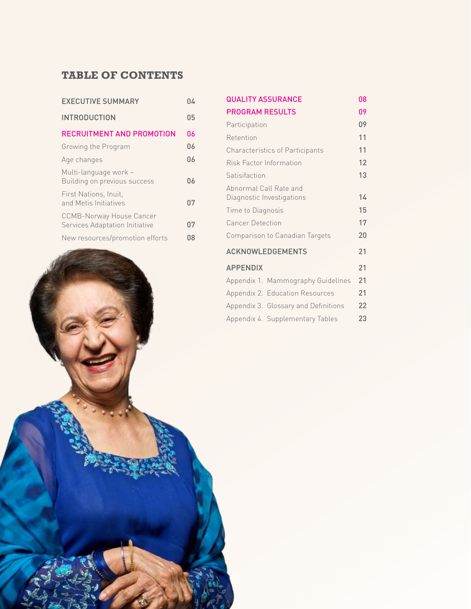# **TABLE OF CONTENTS**

| <b>EXECUTIVE SUMMARY</b>                                          | በፈ |
|-------------------------------------------------------------------|----|
| <b>INTRODUCTION</b>                                               | 05 |
| RECRUITMENT AND PROMOTION                                         | 06 |
| Growing the Program                                               | በ6 |
| Age changes                                                       | በ6 |
| Multi-language work -<br>Building on previous success             | იგ |
| First Nations, Inuit,<br>and Metis Initiatives                    | በ7 |
| <b>CCMB-Norway House Cancer</b><br>Services Adaptation Initiative | 07 |
| New resources/promotion efforts                                   | 08 |

| <b>QUALITY ASSURANCE</b>                            |    |  |  |  |  |  |
|-----------------------------------------------------|----|--|--|--|--|--|
| <b>PROGRAM RESULTS</b>                              | 09 |  |  |  |  |  |
| Participation                                       | 09 |  |  |  |  |  |
| Retention                                           | 11 |  |  |  |  |  |
| <b>Characteristics of Participants</b>              | 11 |  |  |  |  |  |
| Risk Factor Information                             | 12 |  |  |  |  |  |
| Satisifaction                                       | 13 |  |  |  |  |  |
| Abnormal Call Rate and<br>Diagnostic Investigations |    |  |  |  |  |  |
| Time to Diagnosis                                   | 15 |  |  |  |  |  |
| <b>Cancer Detection</b>                             | 17 |  |  |  |  |  |
| Comparison to Canadian Targets                      | 20 |  |  |  |  |  |
| <b>ACKNOWLEDGEMENTS</b>                             |    |  |  |  |  |  |
| <b>APPENDIX</b>                                     | 21 |  |  |  |  |  |
| Appendix 1. Mammography Guidelines                  | 21 |  |  |  |  |  |
| Appendix 2. Education Resources                     | 21 |  |  |  |  |  |
| Appendix 3. Glossary and Definitions                |    |  |  |  |  |  |
| Appendix 4. Supplementary Tables                    |    |  |  |  |  |  |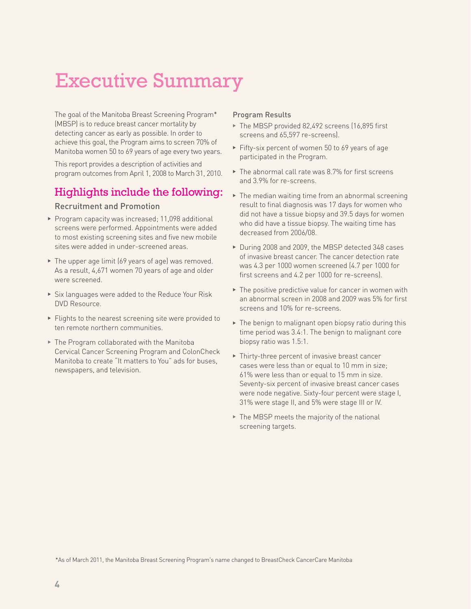# Executive Summary

The goal of the Manitoba Breast Screening Program\* (MBSP) is to reduce breast cancer mortality by detecting cancer as early as possible. In order to achieve this goal, the Program aims to screen 70% of Manitoba women 50 to 69 years of age every two years.

This report provides a description of activities and program outcomes from April 1, 2008 to March 31, 2010.

# Highlights include the following:

# Recruitment and Promotion

- $\blacktriangleright$  Program capacity was increased; 11,098 additional screens were performed. Appointments were added to most existing screening sites and five new mobile sites were added in under-screened areas.
- $\blacktriangleright$  The upper age limit (69 years of age) was removed. As a result, 4,671 women 70 years of age and older were screened.
- $\triangleright$  Six languages were added to the Reduce Your Risk DVD Resource.
- $\blacktriangleright$  Flights to the nearest screening site were provided to ten remote northern communities.
- $\blacktriangleright$  The Program collaborated with the Manitoba Cervical Cancer Screening Program and ColonCheck Manitoba to create "It matters to You" ads for buses, newspapers, and television.

#### Program Results

- $\triangleright$  The MBSP provided 82,492 screens (16,895 first screens and 65,597 re-screens).
- $\blacktriangleright$  Fifty-six percent of women 50 to 69 years of age participated in the Program.
- $\blacktriangleright$  The abnormal call rate was 8.7% for first screens and 3.9% for re-screens.
- $\triangleright$  The median waiting time from an abnormal screening result to final diagnosis was 17 days for women who did not have a tissue biopsy and 39.5 days for women who did have a tissue biopsy. The waiting time has decreased from 2006/08.
- During 2008 and 2009, the MBSP detected 348 cases of invasive breast cancer. The cancer detection rate was 4.3 per 1000 women screened (4.7 per 1000 for first screens and 4.2 per 1000 for re-screens).
- $\triangleright$  The positive predictive value for cancer in women with an abnormal screen in 2008 and 2009 was 5% for first screens and 10% for re-screens.
- $\blacktriangleright$  The benign to malignant open biopsy ratio during this time period was 3.4:1. The benign to malignant core biopsy ratio was 1.5:1.
- $\triangleright$  Thirty-three percent of invasive breast cancer cases were less than or equal to 10 mm in size; 61% were less than or equal to 15 mm in size. Seventy-six percent of invasive breast cancer cases were node negative. Sixty-four percent were stage I, 31% were stage II, and 5% were stage III or IV.
- $\blacktriangleright$  The MBSP meets the majority of the national screening targets.

\*As of March 2011, the Manitoba Breast Screening Program's name changed to BreastCheck CancerCare Manitoba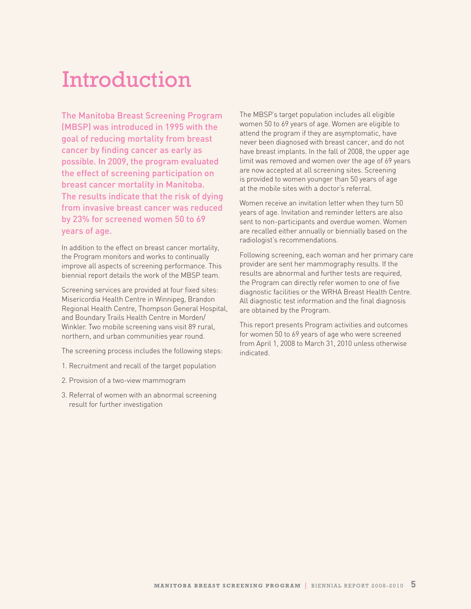# Introduction

 The Manitoba Breast Screening Program (MBSP) was introduced in 1995 with the goal of reducing mortality from breast cancer by finding cancer as early as possible. In 2009, the program evaluated the effect of screening participation on breast cancer mortality in Manitoba. The results indicate that the risk of dying from invasive breast cancer was reduced by 23% for screened women 50 to 69 years of age.

In addition to the effect on breast cancer mortality, the Program monitors and works to continually improve all aspects of screening performance. This biennial report details the work of the MBSP team.

Screening services are provided at four fixed sites: Misericordia Health Centre in Winnipeg, Brandon Regional Health Centre, Thompson General Hospital, and Boundary Trails Health Centre in Morden/ Winkler. Two mobile screening vans visit 89 rural, northern, and urban communities year round.

 The screening process includes the following steps:

- 1. Recruitment and recall of the target population
- 2. Provision of a two-view mammogram
- 3. Referral of women with an abnormal screening result for further investigation

The MBSP's target population includes all eligible women 50 to 69 years of age. Women are eligible to attend the program if they are asymptomatic, have never been diagnosed with breast cancer, and do not have breast implants. In the fall of 2008, the upper age limit was removed and women over the age of 69 years are now accepted at all screening sites. Screening is provided to women younger than 50 years of age at the mobile sites with a doctor's referral.

Women receive an invitation letter when they turn 50 years of age. Invitation and reminder letters are also sent to non-participants and overdue women. Women are recalled either annually or biennially based on the radiologist's recommendations.

Following screening, each woman and her primary care provider are sent her mammography results. If the results are abnormal and further tests are required, the Program can directly refer women to one of five diagnostic facilities or the WRHA Breast Health Centre. All diagnostic test information and the final diagnosis are obtained by the Program.

This report presents Program activities and outcomes for women 50 to 69 years of age who were screened from April 1, 2008 to March 31, 2010 unless otherwise indicated.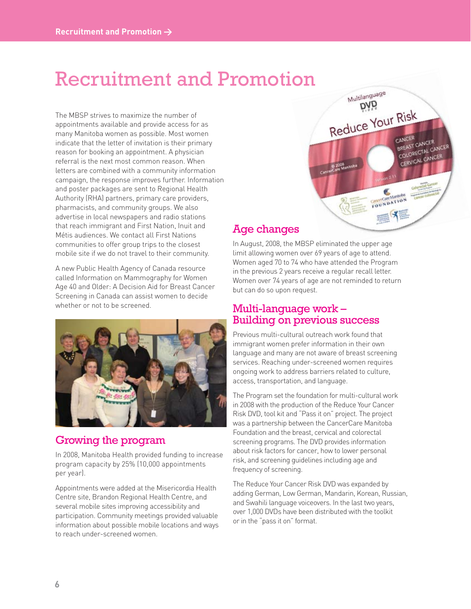# Recruitment and Promotion

The MBSP strives to maximize the number of appointments available and provide access for as many Manitoba women as possible. Most women indicate that the letter of invitation is their primary reason for booking an appointment. A physician referral is the next most common reason. When letters are combined with a community information campaign, the response improves further. Information and poster packages are sent to Regional Health Authority (RHA) partners, primary care providers, pharmacists, and community groups. We also advertise in local newspapers and radio stations that reach immigrant and First Nation, Inuit and Métis audiences. We contact all First Nations communities to offer group trips to the closest mobile site if we do not travel to their community.

A new Public Health Agency of Canada resource called Information on Mammography for Women Age 40 and Older: A Decision Aid for Breast Cancer Screening in Canada can assist women to decide whether or not to be screened.



# Growing the program

In 2008, Manitoba Health provided funding to increase program capacity by 25% (10,000 appointments per year).

Appointments were added at the Misericordia Health Centre site, Brandon Regional Health Centre, and several mobile sites improving accessibility and participation. Community meetings provided valuable information about possible mobile locations and ways to reach under-screened women.



# Age changes

In August, 2008, the MBSP eliminated the upper age limit allowing women over 69 years of age to attend. Women aged 70 to 74 who have attended the Program in the previous 2 years receive a regular recall letter. Women over 74 years of age are not reminded to return but can do so upon request.

# Multi-language work – Building on previous success

Previous multi-cultural outreach work found that immigrant women prefer information in their own language and many are not aware of breast screening services. Reaching under-screened women requires ongoing work to address barriers related to culture, access, transportation, and language.

The Program set the foundation for multi-cultural work in 2008 with the production of the Reduce Your Cancer Risk DVD, tool kit and "Pass it on" project. The project was a partnership between the CancerCare Manitoba Foundation and the breast, cervical and colorectal screening programs. The DVD provides information about risk factors for cancer, how to lower personal risk, and screening guidelines including age and frequency of screening.

The Reduce Your Cancer Risk DVD was expanded by adding German, Low German, Mandarin, Korean, Russian, and Swahili language voiceovers. In the last two years, over 1,000 DVDs have been distributed with the toolkit or in the "pass it on" format.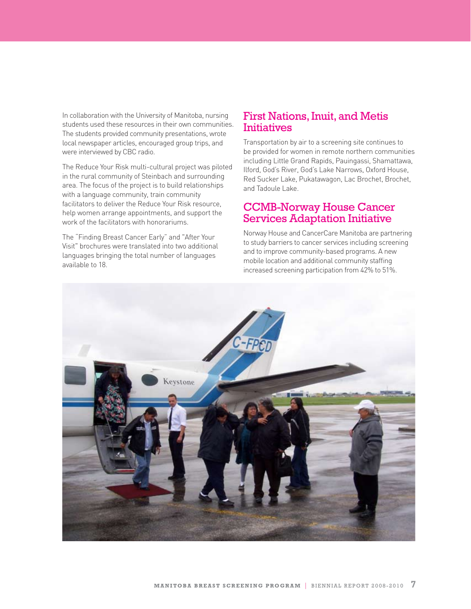In collaboration with the University of Manitoba, nursing students used these resources in their own communities. The students provided community presentations, wrote local newspaper articles, encouraged group trips, and were interviewed by CBC radio.

The Reduce Your Risk multi-cultural project was piloted in the rural community of Steinbach and surrounding area. The focus of the project is to build relationships with a language community, train community facilitators to deliver the Reduce Your Risk resource, help women arrange appointments, and support the work of the facilitators with honorariums.

The "Finding Breast Cancer Early" and "After Your Visit" brochures were translated into two additional languages bringing the total number of languages available to 18.

# First Nations, Inuit, and Metis **Initiatives**

Transportation by air to a screening site continues to be provided for women in remote northern communities including Little Grand Rapids, Pauingassi, Shamattawa, Ilford, God's River, God's Lake Narrows, Oxford House, Red Sucker Lake, Pukatawagon, Lac Brochet, Brochet, and Tadoule Lake.

# CCMB-Norway House Cancer Services Adaptation Initiative

Norway House and CancerCare Manitoba are partnering to study barriers to cancer services including screening and to improve community-based programs. A new mobile location and additional community staffing increased screening participation from 42% to 51%.

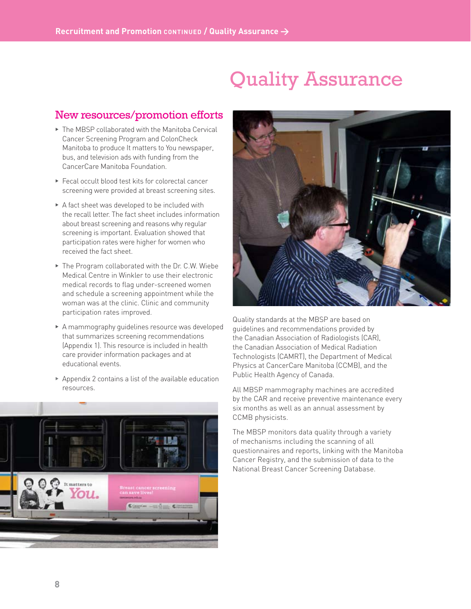# Quality Assurance

# New resources/promotion efforts

- $\triangleright$  The MBSP collaborated with the Manitoba Cervical Cancer Screening Program and ColonCheck Manitoba to produce It matters to You newspaper, bus, and television ads with funding from the CancerCare Manitoba Foundation.
- $\blacktriangleright$  Fecal occult blood test kits for colorectal cancer screening were provided at breast screening sites.
- $\triangleright$  A fact sheet was developed to be included with the recall letter. The fact sheet includes information about breast screening and reasons why regular screening is important. Evaluation showed that participation rates were higher for women who received the fact sheet.
- $\triangleright$  The Program collaborated with the Dr. C.W. Wiebe Medical Centre in Winkler to use their electronic medical records to flag under-screened women and schedule a screening appointment while the woman was at the clinic. Clinic and community participation rates improved.
- $\triangleright$  A mammography guidelines resource was developed that summarizes screening recommendations (Appendix 1). This resource is included in health care provider information packages and at educational events.
- $\blacktriangleright$  Appendix 2 contains a list of the available education resources.





Quality standards at the MBSP are based on guidelines and recommendations provided by the Canadian Association of Radiologists (CAR), the Canadian Association of Medical Radiation Technologists (CAMRT), the Department of Medical Physics at CancerCare Manitoba (CCMB), and the Public Health Agency of Canada.

All MBSP mammography machines are accredited by the CAR and receive preventive maintenance every six months as well as an annual assessment by CCMB physicists.

The MBSP monitors data quality through a variety of mechanisms including the scanning of all questionnaires and reports, linking with the Manitoba Cancer Registry, and the submission of data to the National Breast Cancer Screening Database.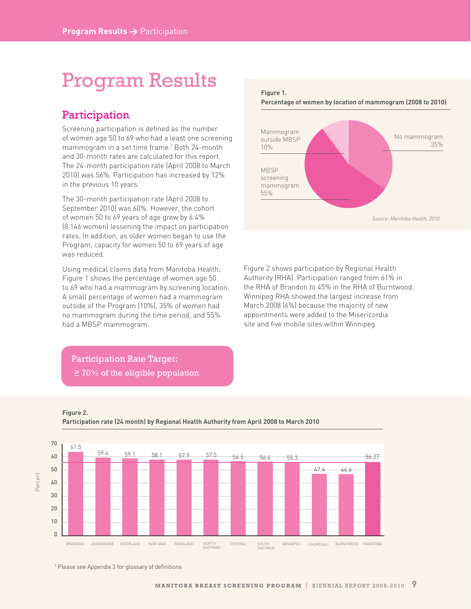# Program Results

# Participation

Screening participation is defined as the number of women age 50 to 69 who had a least one screening mammogram in a set time frame.<sup>1</sup> Both 24-month and 30-month rates are calculated for this report. The 24-month participation rate (April 2008 to March 2010) was 56%. Participation has increased by 12% in the previous 10 years.

The 30-month participation rate (April 2008 to September 2010) was 60%. However, the cohort of women 50 to 69 years of age grew by 6.4% (8,146 women) lessening the impact on participation rates. In addition, as older women began to use the Program, capacity for women 50 to 69 years of age was reduced.

Using medical claims data from Manitoba Health, Figure 1 shows the percentage of women age 50 to 69 who had a mammogram by screening location. A small percentage of women had a mammogram outside of the Program (10%), 35% of women had no mammogram during the time period, and 55% had a MBSP mammogram.



Figure 2 shows participation by Regional Health Authority (RHA). Participation ranged from 61% in the RHA of Brandon to 45% in the RHA of Burntwood. Winnipeg RHA showed the largest increase from March 2008 (6%) because the majority of new appointments were added to the Misericordia site and five mobile sites within Winnipeg. 

# Participation Rate Target:

≥ 70% of the eligible population



## **Figure 2.**

**Participation rate (24 month) by Regional Health Authority from April 2008 to March 2010**

1 Please see Appendix 3 for glossary of definitions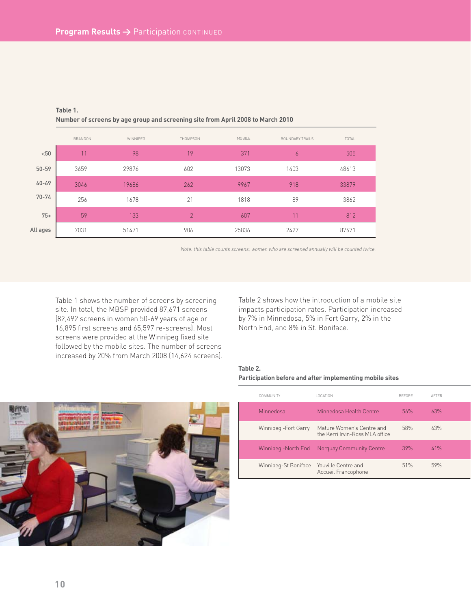#### **Table 1.**

**Number of screens by age group and screening site from April 2008 to March 2010**

|           | <b>BRANDON</b> | WINNIPEG | THOMPSON       | MOBILE | <b>BOUNDARY TRAILS</b> | TOTAL |
|-----------|----------------|----------|----------------|--------|------------------------|-------|
| < 50      | 11             | 98       | 19             | 371    | 6                      | 505   |
| 50-59     | 3659           | 29876    | 602            | 13073  | 1403                   | 48613 |
| 60-69     | 3046           | 19686    | 262            | 9967   | 918                    | 33879 |
| $70 - 74$ | 256            | 1678     | 21             | 1818   | 89                     | 3862  |
| $75+$     | 59             | 133      | $\overline{2}$ | 607    | 11                     | 812   |
| All ages  | 7031           | 51471    | 906            | 25836  | 2427                   | 87671 |

*Note: this table counts screens; women who are screened annually will be counted twice.*

Table 1 shows the number of screens by screening site. In total, the MBSP provided 87,671 screens (82,492 screens in women 50-69 years of age or 16,895 first screens and 65,597 re-screens). Most screens were provided at the Winnipeg fixed site followed by the mobile sites. The number of screens increased by 20% from March 2008 (14,624 screens). Table 2 shows how the introduction of a mobile site impacts participation rates. Participation increased by 7% in Minnedosa, 5% in Fort Garry, 2% in the North End, and 8% in St. Boniface.

#### **Table 2.**

#### **Participation before and after implementing mobile sites**

| COMMUNITY                                | LOCATION                                                     | <b>BEFORE</b> | AFTER |
|------------------------------------------|--------------------------------------------------------------|---------------|-------|
| Minnedosa                                | Minnedosa Health Centre                                      | 56%           | 63%   |
| Winnipeg - Fort Garry                    | Mature Women's Centre and<br>the Kerri Irvin-Ross MLA office | 58%           | 63%   |
| Winnipeg - North End                     | Norguay Community Centre                                     | $.39\%$       | 41%   |
| Winnipeg-St Boniface Youville Centre and | Accueil Francophone                                          | 51%           | 59%   |

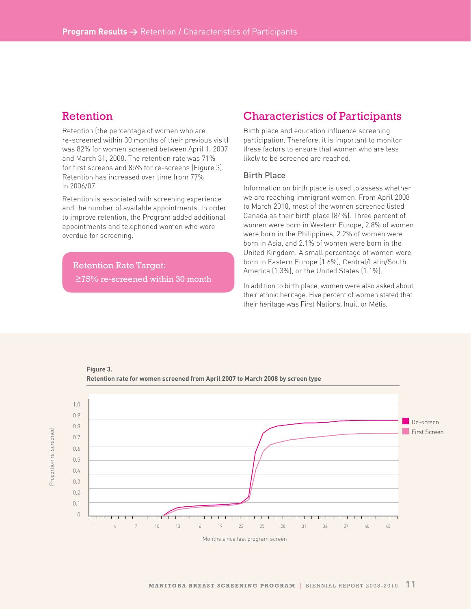# Retention

Retention (the percentage of women who are re-screened within 30 months of their previous visit) was 82% for women screened between April 1, 2007 and March 31, 2008. The retention rate was 71% for first screens and 85% for re-screens (Figure 3). Retention has increased over time from 77% in 2006/07.

Retention is associated with screening experience and the number of available appointments. In order to improve retention, the Program added additional appointments and telephoned women who were overdue for screening.

# Retention Rate Target:

≥75% re-screened within 30 month

# Characteristics of Participants

Birth place and education influence screening participation. Therefore, it is important to monitor these factors to ensure that women who are less likely to be screened are reached.

## Birth Place

Information on birth place is used to assess whether we are reaching immigrant women. From April 2008 to March 2010, most of the women screened listed Canada as their birth place (84%). Three percent of women were born in Western Europe, 2.8% of women were born in the Philippines, 2.2% of women were born in Asia, and 2.1% of women were born in the United Kingdom. A small percentage of women were born in Eastern Europe (1.6%), Central/Latin/South America (1.3%), or the United States (1.1%).

In addition to birth place, women were also asked about their ethnic heritage. Five percent of women stated that their heritage was First Nations, Inuit, or Métis.



**Figure 3. Retention rate for women screened from April 2007 to March 2008 by screen type**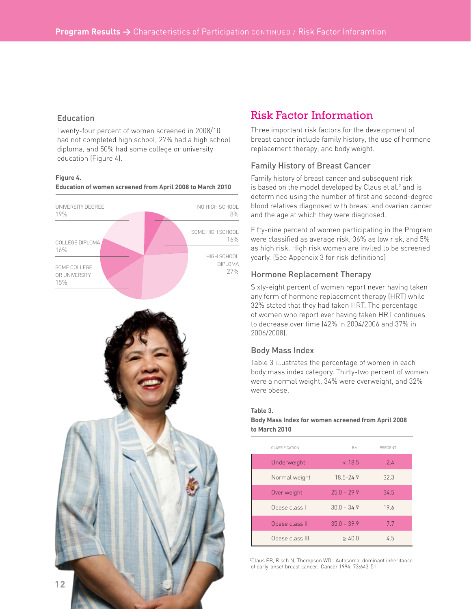## Education

Twenty-four percent of women screened in 2008/10 had not completed high school, 27% had a high school diploma, and 50% had some college or university education (Figure 4).

#### **Figure 4.**

#### **Education of women screened from April 2008 to March 2010**



# Risk Factor Information

Three important risk factors for the development of breast cancer include family history, the use of hormone replacement therapy, and body weight.

## Family History of Breast Cancer

Family history of breast cancer and subsequent risk is based on the model developed by Claus et  $al<sup>2</sup>$  and is determined using the number of first and second-degree blood relatives diagnosed with breast and ovarian cancer and the age at which they were diagnosed.

Fifty-nine percent of women participating in the Program were classified as average risk, 36% as low risk, and 5% as high risk. High risk women are invited to be screened yearly. (See Appendix 3 for risk definitions)

# Hormone Replacement Therapy

Sixty-eight percent of women report never having taken any form of hormone replacement therapy (HRT) while 32% stated that they had taken HRT. The percentage of women who report ever having taken HRT continues to decrease over time (42% in 2004/2006 and 37% in 2006/2008).

# Body Mass Index

Table 3 illustrates the percentage of women in each body mass index category. Thirty-two percent of women were a normal weight, 34% were overweight, and 32% were obese.

#### **Table 3.**

#### **Body Mass Index for women screened from April 2008 to March 2010**

| CLASSIFICATION  | <b>BMI</b>    | PERCENT |
|-----------------|---------------|---------|
| Underweight     | < 18.5        | 2.4     |
| Normal weight   | 18.5-24.9     | 32.3    |
| Over weight     | $25.0 - 29.9$ | 34.5    |
| Ohese class I   | $30.0 - 34.9$ | 19.6    |
| Obese class II  | $35.0 - 39.9$ | 7.7     |
| Ohese class III | >40.0         | 45      |

2 Claus EB, Risch N, Thompson WD. Autosomal dominant inheritance of early-onset breast cancer. Cancer 1994; 73:643-51.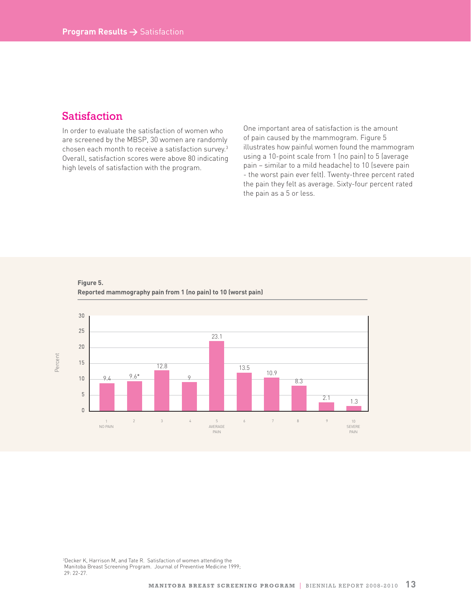# Satisfaction

In order to evaluate the satisfaction of women who are screened by the MBSP, 30 women are randomly chosen each month to receive a satisfaction survey.3 Overall, satisfaction scores were above 80 indicating high levels of satisfaction with the program.

One important area of satisfaction is the amount of pain caused by the mammogram. Figure 5 illustrates how painful women found the mammogram using a 10-point scale from 1 (no pain) to 5 (average pain – similar to a mild headache) to 10 (severe pain - the worst pain ever felt). Twenty-three percent rated the pain they felt as average. Sixty-four percent rated the pain as a 5 or less.



**Figure 5. Reported mammography pain from 1 (no pain) to 10 (worst pain)**

3 Decker K, Harrison M, and Tate R. Satisfaction of women attending the Manitoba Breast Screening Program. Journal of Preventive Medicine 1999; 29: 22-27.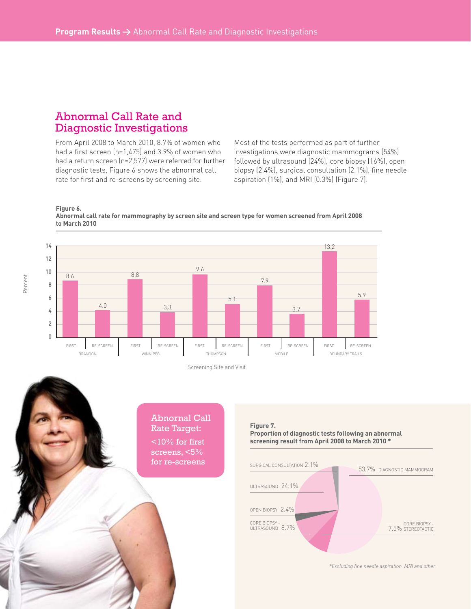# Abnormal Call Rate and Diagnostic Investigations

From April 2008 to March 2010, 8.7% of women who had a first screen (n=1,475) and 3.9% of women who had a return screen (n=2,577) were referred for further diagnostic tests. Figure 6 shows the abnormal call rate for first and re-screens by screening site.

Most of the tests performed as part of further investigations were diagnostic mammograms (54%) followed by ultrasound (24%), core biopsy (16%), open biopsy (2.4%), surgical consultation (2.1%), fine needle aspiration (1%), and MRI (0.3%) (Figure 7).

#### **Figure 6. Abnormal call rate for mammography by screen site and screen type for women screened from April 2008 to March 2010**







#### **Figure 7.**

**Proportion of diagnostic tests following an abnormal screening result from April 2008 to March 2010 \***



*\*Excluding fine needle aspiration. MRI and other.*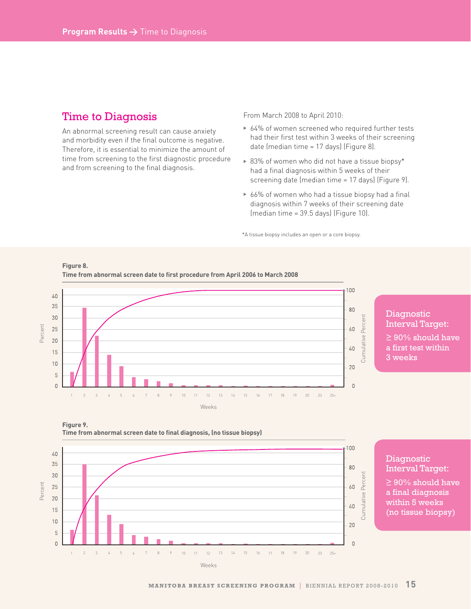# Time to Diagnosis

An abnormal screening result can cause anxiety and morbidity even if the final outcome is negative. Therefore, it is essential to minimize the amount of time from screening to the first diagnostic procedure and from screening to the final diagnosis.

From March 2008 to April 2010:

- $\rightarrow$  64% of women screened who required further tests had their first test within 3 weeks of their screening date (median time = 17 days) (Figure 8).
- $\blacktriangleright$  83% of women who did not have a tissue biopsy\* had a final diagnosis within 5 weeks of their screening date (median time = 17 days) (Figure 9).
- $\triangleright$  66% of women who had a tissue biopsy had a final diagnosis within 7 weeks of their screening date (median time = 39.5 days) (Figure 10).

\*A tissue biopsy includes an open or a core biopsy.



**Figure 8. Time from abnormal screen date to first procedure from April 2006 to March 2008**

**Figure 9. Time from abnormal screen date to final diagnosis, (no tissue biopsy)**



# Diagnostic Interval Target:

≥ 90% should have a final diagnosis within 5 weeks (no tissue biopsy)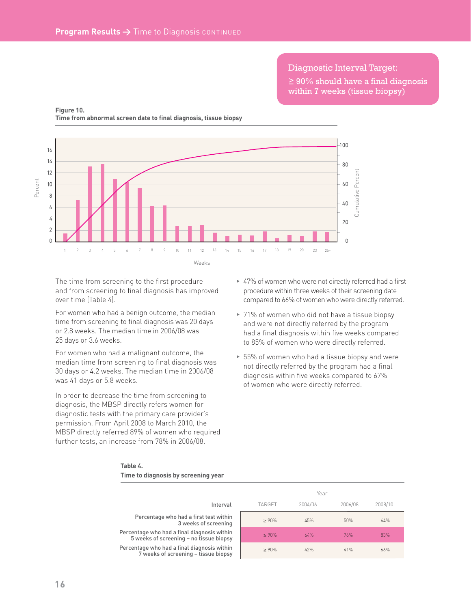# Diagnostic Interval Target:

≥ 90% should have a final diagnosis within 7 weeks (tissue biopsy)



#### **Figure 10. Time from abnormal screen date to final diagnosis, tissue biopsy**

The time from screening to the first procedure and from screening to final diagnosis has improved over time (Table 4).

For women who had a benign outcome, the median time from screening to final diagnosis was 20 days or 2.8 weeks. The median time in 2006/08 was 25 days or 3.6 weeks.

For women who had a malignant outcome, the median time from screening to final diagnosis was 30 days or 4.2 weeks. The median time in 2006/08 was 41 days or 5.8 weeks.

In order to decrease the time from screening to diagnosis, the MBSP directly refers women for diagnostic tests with the primary care provider's permission. From April 2008 to March 2010, the MBSP directly referred 89% of women who required further tests, an increase from 78% in 2006/08.

- $\blacktriangleright$  47% of women who were not directly referred had a first procedure within three weeks of their screening date compared to 66% of women who were directly referred.
- $\geq 71\%$  of women who did not have a tissue biopsy and were not directly referred by the program had a final diagnosis within five weeks compared to 85% of women who were directly referred.
- $\geq 55\%$  of women who had a tissue biopsy and were not directly referred by the program had a final diagnosis within five weeks compared to 67% of women who were directly referred.

**Table 4. Time to diagnosis by screening year**

|                                                                                        | Year          |         |         |         |  |  |  |
|----------------------------------------------------------------------------------------|---------------|---------|---------|---------|--|--|--|
| Interval                                                                               | <b>TARGET</b> | 2004/06 | 2006/08 | 2008/10 |  |  |  |
| Percentage who had a first test within<br>3 weeks of screening                         | >90%          | 45%     | 50%     | 64%     |  |  |  |
| Percentage who had a final diagnosis within<br>5 weeks of screening - no tissue biopsy | >90%          | 64%     | 76%     | 83%     |  |  |  |
| Percentage who had a final diagnosis within<br>7 weeks of screening - tissue biopsy    | >90%          | 42%     | 41%     | 66%     |  |  |  |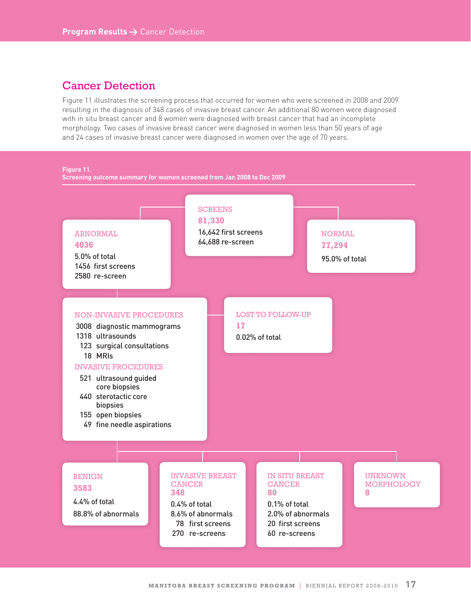# Cancer Detection

Figure 11 illustrates the screening process that occurred for women who were screened in 2008 and 2009 resulting in the diagnosis of 348 cases of invasive breast cancer. An additional 80 women were diagnosed with in situ breast cancer and 8 women were diagnosed with breast cancer that had an incomplete morphology. Two cases of invasive breast cancer were diagnosed in women less than 50 years of age and 24 cases of invasive breast cancer were diagnosed in women over the age of 70 years.

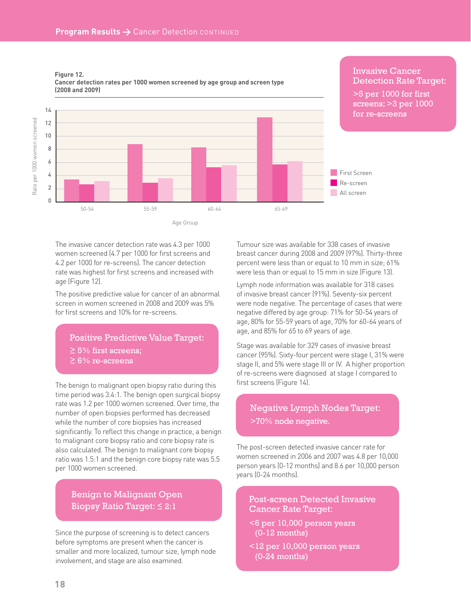

The invasive cancer detection rate was 4.3 per 1000 women screened (4.7 per 1000 for first screens and 4.2 per 1000 for re-screens). The cancer detection rate was highest for first screens and increased with age (Figure 12).

The positive predictive value for cancer of an abnormal screen in women screened in 2008 and 2009 was 5% for first screens and 10% for re-screens.

#### Positive Predictive Value Target:

- ≥ 5% first screens;
- $\geq$  6% re-screens

The benign to malignant open biopsy ratio during this time period was 3.4:1. The benign open surgical biopsy rate was 1.2 per 1000 women screened. Over time, the number of open biopsies performed has decreased while the number of core biopsies has increased significantly. To reflect this change in practice, a benign to malignant core biopsy ratio and core biopsy rate is also calculated. The benign to malignant core biopsy ratio was 1.5:1 and the benign core biopsy rate was 5.5 per 1000 women screened.

# Benign to Malignant Open Biopsy Ratio Target: ≤ 2:1

Since the purpose of screening is to detect cancers before symptoms are present when the cancer is smaller and more localized, tumour size, lymph node involvement, and stage are also examined.

Tumour size was available for 338 cases of invasive breast cancer during 2008 and 2009 (97%). Thirty-three percent were less than or equal to 10 mm in size; 61% were less than or equal to 15 mm in size (Figure 13). 

Lymph node information was available for 318 cases of invasive breast cancer (91%). Seventy-six percent were node negative. The percentage of cases that were negative differed by age group: 71% for 50-54 years of age, 80% for 55-59 years of age, 70% for 60-64 years of age, and 85% for 65 to 69 years of age.

Stage was available for 329 cases of invasive breast cancer (95%). Sixty-four percent were stage I, 31% were stage II, and 5% were stage III or IV. A higher proportion of re-screens were diagnosed at stage I compared to first screens (Figure 14).

# Negative Lymph Nodes Target: >70% node negative.

The post-screen detected invasive cancer rate for women screened in 2006 and 2007 was 4.8 per 10,000 person years (0-12 months) and 8.6 per 10,000 person years (0-24 months).

# Post-screen Detected Invasive Cancer Rate Target:

- <6 per 10,000 person years (0-12 months)
- <12 per 10,000 person years (0-24 months)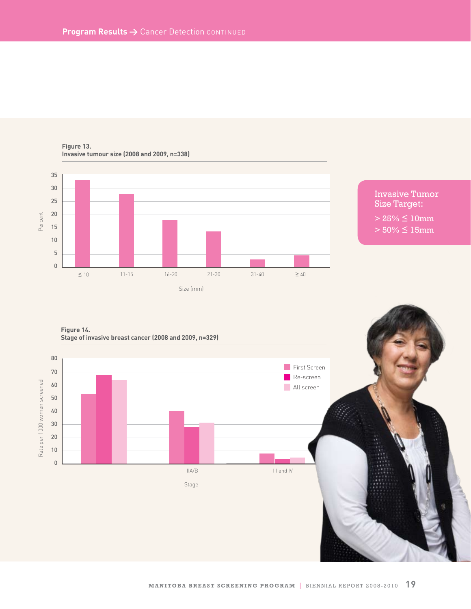

**Figure 13. Invasive tumour size (2008 and 2009, n=338)**



**Figure 14. Stage of invasive breast cancer (2008 and 2009, n=329)**

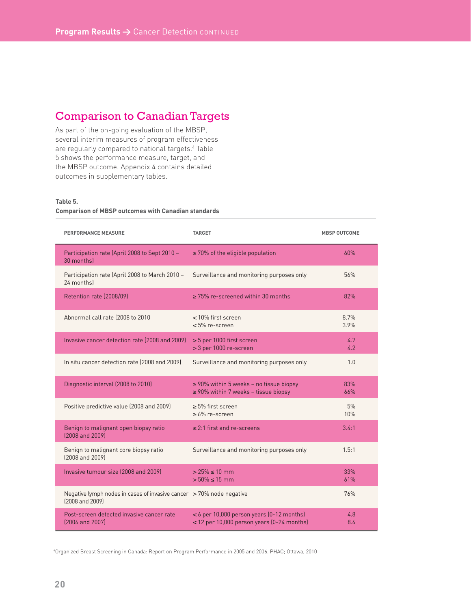# Comparison to Canadian Targets

As part of the on-going evaluation of the MBSP, several interim measures of program effectiveness are regularly compared to national targets.4 Table 5 shows the performance measure, target, and the MBSP outcome. Appendix 4 contains detailed outcomes in supplementary tables.

#### **Table 5.**

**Comparison of MBSP outcomes with Canadian standards**

| <b>PERFORMANCE MEASURE</b>                                                                | <b>TARGET</b>                                                                             | <b>MBSP OUTCOME</b> |
|-------------------------------------------------------------------------------------------|-------------------------------------------------------------------------------------------|---------------------|
| Participation rate (April 2008 to Sept 2010 -<br>30 monthsl                               | $\geq$ 70% of the eligible population                                                     | 60%                 |
| Participation rate (April 2008 to March 2010 -<br>24 monthsl                              | Surveillance and monitoring purposes only                                                 | 56%                 |
| Retention rate (2008/09)                                                                  | $\geq$ 75% re-screened within 30 months                                                   | 82%                 |
| Abnormal call rate (2008 to 2010)                                                         | $<$ 10% first screen<br><5% re-screen                                                     | 8.7%<br>3.9%        |
| Invasive cancer detection rate (2008 and 2009)                                            | > 5 per 1000 first screen<br>> 3 per 1000 re-screen                                       | 4.7<br>4.2          |
| In situ cancer detection rate (2008 and 2009)                                             | Surveillance and monitoring purposes only                                                 | 1.0                 |
| Diagnostic interval (2008 to 2010)                                                        | $\geq$ 90% within 5 weeks - no tissue biopsy<br>$\geq$ 90% within 7 weeks - tissue biopsy | 83%<br>66%          |
| Positive predictive value (2008 and 2009)                                                 | $\geq$ 5% first screen<br>$\geq 6\%$ re-screen                                            | 5%<br>10%           |
| Benign to malignant open biopsy ratio<br>[2008 and 2009]                                  | $\leq$ 2:1 first and re-screens                                                           | 3.4:1               |
| Benign to malignant core biopsy ratio<br>[2008 and 2009]                                  | Surveillance and monitoring purposes only                                                 | 1.5:1               |
| Invasive tumour size (2008 and 2009)                                                      | $> 25\% \le 10$ mm<br>$> 50\% \le 15$ mm                                                  | 33%<br>61%          |
| Negative lymph nodes in cases of invasive cancer $>70\%$ node negative<br>[2008 and 2009] |                                                                                           | 76%                 |
| Post-screen detected invasive cancer rate<br>[2006 and 2007]                              | $<$ 6 per 10,000 person years (0-12 months)<br><12 per 10,000 person years (0-24 months)  | 4.8<br>8.6          |

4 Organized Breast Screening in Canada: Report on Program Performance in 2005 and 2006. PHAC; Ottawa, 2010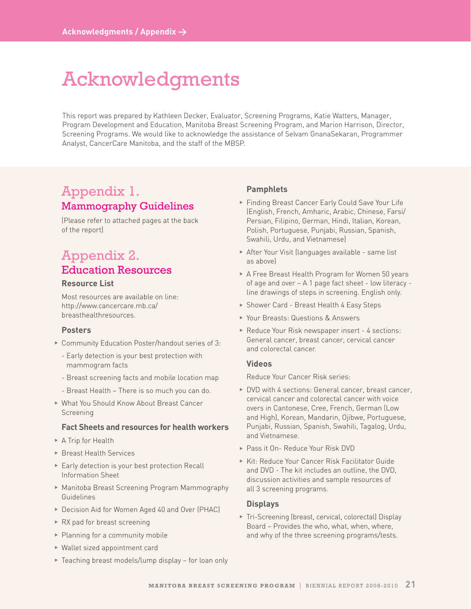# Acknowledgments

This report was prepared by Kathleen Decker, Evaluator, Screening Programs, Katie Watters, Manager, Program Development and Education, Manitoba Breast Screening Program, and Marion Harrison, Director, Screening Programs. We would like to acknowledge the assistance of Selvam GnanaSekaran, Programmer Analyst, CancerCare Manitoba, and the staff of the MBSP.

# Appendix 1. Mammography Guidelines

(Please refer to attached pages at the back of the report)

# Appendix 2. Education Resources

# **Resource List**

Most resources are available on line: http://www.cancercare.mb.ca/ breasthealthresources.

## **Posters**

- $\triangleright$  Community Education Poster/handout series of 3:
	- Early detection is your best protection with mammogram facts
	- Breast screening facts and mobile location map
	- Breast Health There is so much you can do.
- ▶ What You Should Know About Breast Cancer Screening

# **Fact Sheets and resources for health workers**

- $\triangleright$  A Trip for Health
- ▶ Breast Health Services
- $\blacktriangleright$  Early detection is your best protection Recall Information Sheet
- ▶ Manitoba Breast Screening Program Mammography Guidelines
- ▶ Decision Aid for Women Aged 40 and Over (PHAC)
- $\triangleright$  RX pad for breast screening
- $\blacktriangleright$  Planning for a community mobile
- $\triangleright$  Wallet sized appointment card
- $\blacktriangleright$  Teaching breast models/lump display for loan only

## **Pamphlets**

- ▶ Finding Breast Cancer Early Could Save Your Life (English, French, Amharic, Arabic, Chinese, Farsi/ Persian, Filipino, German, Hindi, Italian, Korean, Polish, Portuguese, Punjabi, Russian, Spanish, Swahili, Urdu, and Vietnamese)
- ▶ After Your Visit (languages available same list as above)
- A Free Breast Health Program for Women 50 years of age and over – A 1 page fact sheet - low literacy line drawings of steps in screening. English only.
- ▶ Shower Card Breast Health 4 Easy Steps
- ▶ Your Breasts: Questions & Answers
- Reduce Your Risk newspaper insert 4 sections: General cancer, breast cancer, cervical cancer and colorectal cancer.

#### **Videos**

 Reduce Your Cancer Risk series:

- DVD with 4 sections: General cancer, breast cancer, cervical cancer and colorectal cancer with voice overs in Cantonese, Cree, French, German (Low and High), Korean, Mandarin, Ojibwe, Portuguese, Punjabi, Russian, Spanish, Swahili, Tagalog, Urdu, and Vietnamese.
- ▶ Pass it On- Reduce Your Risk DVD
- Kit: Reduce Your Cancer Risk Facilitator Guide and DVD - The kit includes an outline, the DVD, discussion activities and sample resources of all 3 screening programs.

#### **Displays**

 $\triangleright$  Tri-Screening (breast, cervical, colorectal) Display Board – Provides the who, what, when, where, and why of the three screening programs/tests.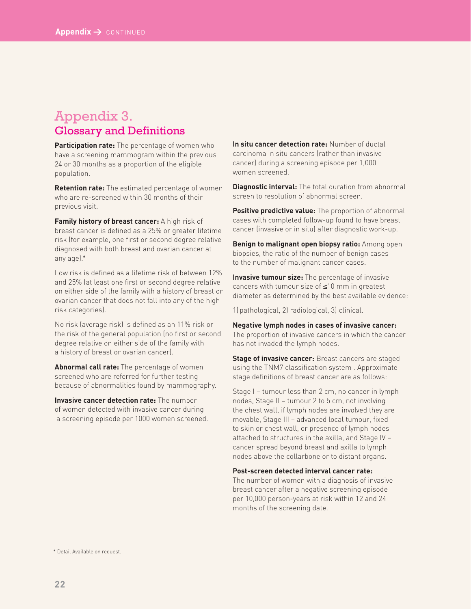# Appendix 3. Glossary and Definitions

**Participation rate:** The percentage of women who have a screening mammogram within the previous 24 or 30 months as a proportion of the eligible population.

**Retention rate:** The estimated percentage of women who are re-screened within 30 months of their previous visit.

**Family history of breast cancer:** A high risk of breast cancer is defined as a 25% or greater lifetime risk (for example, one first or second degree relative diagnosed with both breast and ovarian cancer at any age).\*

Low risk is defined as a lifetime risk of between 12% and 25% (at least one first or second degree relative on either side of the family with a history of breast or ovarian cancer that does not fall into any of the high risk categories).

No risk (average risk) is defined as an 11% risk or the risk of the general population (no first or second degree relative on either side of the family with a history of breast or ovarian cancer).

**Abnormal call rate:** The percentage of women screened who are referred for further testing because of abnormalities found by mammography.

**Invasive cancer detection rate:** The number of women detected with invasive cancer during a screening episode per 1000 women screened. **In situ cancer detection rate:** Number of ductal carcinoma in situ cancers (rather than invasive cancer) during a screening episode per 1,000 women screened.

**Diagnostic interval:** The total duration from abnormal screen to resolution of abnormal screen.

**Positive predictive value:** The proportion of abnormal cases with completed follow-up found to have breast cancer (invasive or in situ) after diagnostic work-up.

**Benign to malignant open biopsy ratio:** Among open biopsies, the ratio of the number of benign cases to the number of malignant cancer cases.

**Invasive tumour size:** The percentage of invasive cancers with tumour size of ≤10 mm in greatest diameter as determined by the best available evidence:

1) pathological, 2) radiological, 3) clinical.

**Negative lymph nodes in cases of invasive cancer:**  The proportion of invasive cancers in which the cancer has not invaded the lymph nodes.

**Stage of invasive cancer:** Breast cancers are staged using the TNM7 classification system . Approximate stage definitions of breast cancer are as follows:

Stage I – tumour less than 2 cm, no cancer in lymph nodes, Stage II – tumour 2 to 5 cm, not involving the chest wall, if lymph nodes are involved they are movable, Stage III – advanced local tumour, fixed to skin or chest wall, or presence of lymph nodes attached to structures in the axilla, and Stage IV – cancer spread beyond breast and axilla to lymph nodes above the collarbone or to distant organs.

**Post-screen detected interval cancer rate:** 

The number of women with a diagnosis of invasive breast cancer after a negative screening episode per 10,000 person-years at risk within 12 and 24 months of the screening date.

\* Detail Available on request.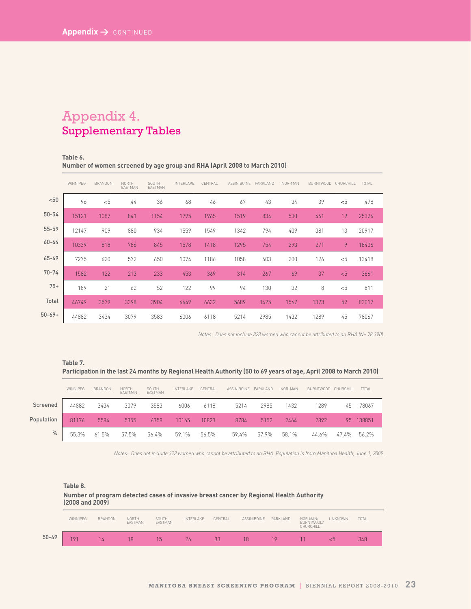# Appendix 4. Supplementary Tables

## **Table 6.**

#### **Number of women screened by age group and RHA (April 2008 to March 2010)**

|             | WINNIPEG | <b>BRANDON</b> | <b>NORTH</b><br>EASTMAN | SOUTH<br>EASTMAN | <b>INTERLAKE</b> | CENTRAL | <b>ASSINIBOINE</b> | PARKLAND | NOR-MAN | BURNTWOOD | CHURCHILL | <b>TOTAL</b> |
|-------------|----------|----------------|-------------------------|------------------|------------------|---------|--------------------|----------|---------|-----------|-----------|--------------|
| < 50        | 96       | $<$ 5          | 44                      | 36               | 68               | 46      | 67                 | 43       | 34      | 39        | $5$       | 478          |
| $50 - 54$   | 15121    | 1087           | 841                     | 1154             | 1795             | 1965    | 1519               | 834      | 530     | 461       | 19        | 25326        |
| 55-59       | 12147    | 909            | 880                     | 934              | 1559             | 1549    | 1342               | 794      | 409     | 381       | 13        | 20917        |
| $60 - 64$   | 10339    | 818            | 786                     | 845              | 1578             | 1418    | 1295               | 754      | 293     | 271       | 9         | 18406        |
| 65-69       | 7275     | 620            | 572                     | 650              | 1074             | 1186    | 1058               | 603      | 200     | 176       | $<$ 5     | 13418        |
| $70 - 74$   | 1582     | 122            | 213                     | 233              | 453              | 369     | 314                | 267      | 69      | 37        | < 5       | 3661         |
| $75+$       | 189      | 21             | 62                      | 52               | 122              | 99      | 94                 | 130      | 32      | 8         | $<$ 5     | 811          |
| Total       | 46749    | 3579           | 3398                    | 3904             | 6649             | 6632    | 5689               | 3425     | 1567    | 1373      | 52        | 83017        |
| $50 - 69 +$ | 44882    | 3434           | 3079                    | 3583             | 6006             | 6118    | 5214               | 2985     | 1432    | 1289      | 45        | 78067        |

*Notes: Does not include 323 women who cannot be attributed to an RHA (N= 78,390).* 

| Table 7.                                                                                                           |
|--------------------------------------------------------------------------------------------------------------------|
| Participation in the last 24 months by Regional Health Authority (50 to 69 years of age, April 2008 to March 2010) |

|               | WINNIPEG | <b>BRANDON</b> | NORTH<br>EASTMAN | SOUTH<br>EASTMAN | <b>INTERLAKE</b> | CENTRAL | ASSINIBOINE | PARKLAND | NOR-MAN | BURNTWOOD CHURCHILL |       | TOTAL  |
|---------------|----------|----------------|------------------|------------------|------------------|---------|-------------|----------|---------|---------------------|-------|--------|
| Screened      | 44882    | 3434           | 3079             | 3583             | 6006             | 6118    | 5214        | 2985     | 1432    | 1289                | 45    | 78067  |
| Population    | 81176    | 5584           | 5355             | 6358             | 10165            | 10823   | 8784        | 5152     | 2464    | 2892                | 95.   | 138851 |
| $\frac{0}{0}$ | 55.3%    | 61.5%          | 57.5%            | 56.4%            | 59.1%            | 56.5%   | 59.4%       | 57.9%    | 58.1%   | 44.6%               | 47.4% | 56.2%  |

*Notes: Does not include 323 women who cannot be attributed to an RHA. Population is from Manitoba Health, June 1, 2009.*

#### **Table 8.**

#### **Number of program detected cases of invasive breast cancer by Regional Health Authority**

 $191$  14 18 15 26 33 18 19 11 <5 348 SOL<br>EAS WINNIPEG BRANDON NORTH SOUTH INTERLAKE CENTRAL NORTH<br>EASTMAN ASSINIBOINE PARKLAND BURNTWOOD/ CHURCHILL Unknown total **(2008 and 2009)**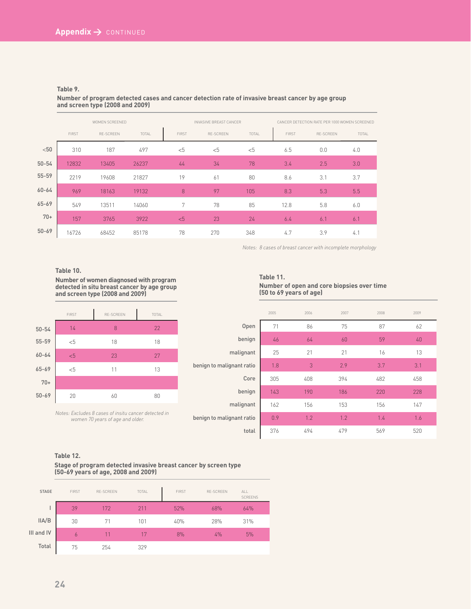#### **Table 9.**

**Number of program detected cases and cancer detection rate of invasive breast cancer by age group and screen type (2008 and 2009)**

|           |              | WOMEN SCREENED |       |              | INVASIIVE BREAST CANCER |       | CANCER DETECTION RATE PER 1000 WOMEN SCREENED |                  |       |
|-----------|--------------|----------------|-------|--------------|-------------------------|-------|-----------------------------------------------|------------------|-------|
|           | <b>FIRST</b> | RE-SCREEN      | TOTAL | <b>FIRST</b> | RE-SCREEN               | TOTAL | <b>FIRST</b>                                  | <b>RE-SCREEN</b> | TOTAL |
| < 50      | 310          | 187            | 497   | $<$ 5        | $<$ 5                   | $<$ 5 | 6.5                                           | 0.0              | 4.0   |
| $50 - 54$ | 12832        | 13405          | 26237 | 44           | 34                      | 78    | 3.4                                           | 2.5              | 3.0   |
| 55-59     | 2219         | 19608          | 21827 | 19           | 61                      | 80    | 8.6                                           | 3.1              | 3.7   |
| $60 - 64$ | 969          | 18163          | 19132 | 8            | 97                      | 105   | 8.3                                           | 5.3              | 5.5   |
| $65 - 69$ | 549          | 13511          | 14060 | 7            | 78                      | 85    | 12.8                                          | 5.8              | 6.0   |
| $70+$     | 157          | 3765           | 3922  | < 5          | 23                      | 24    | 6.4                                           | 6.1              | 6.1   |
| $50 - 69$ | 16726        | 68452          | 85178 | 78           | 270                     | 348   | 4.7                                           | 3.9              | 4.1   |

*Notes: 8 cases of breast cancer with incomplete morphology*

#### **Table 10.**

**Number of women diagnosed with program detected in situ breast cancer by age group and screen type (2008 and 2009)**

# **Table 11.**

#### **Number of open and core biopsies over time (50 to 69 years of age)**

|           | FIRST | <b>RE-SCREEN</b> | TOTAL |
|-----------|-------|------------------|-------|
| $50 - 54$ | 14    | 8                | 22    |
| 55-59     | $<$ 5 | 18               | 18    |
| $60 - 64$ | < 5   | 23               | 27    |
| $65 - 69$ | $<$ 5 | 11               | 13    |
| $70+$     |       |                  |       |
| $50 - 69$ | 20    | 60               | 80    |

*Notes: Excludes 8 cases of insitu cancer detected in women 70 years of age and older.*

| Open                      | 71  |
|---------------------------|-----|
| benign                    | 46  |
| malignant                 | 25  |
| benign to malignant ratio | 1.8 |
| Core                      | 305 |
| benign                    | 143 |
| malignant                 | 162 |
| benign to malignant ratio | 0.9 |
| total                     | 376 |

|         | 2005 | 2006 | 2007 | 2008 | 2009 |
|---------|------|------|------|------|------|
| Open    | 71   | 86   | 75   | 87   | 62   |
| enign   | 46   | 64   | 60   | 59   | 40   |
| ignant  | 25   | 21   | 21   | 16   | 13   |
| t ratio | 1.8  | 3    | 2.9  | 3.7  | 3.1  |
| Core    | 305  | 408  | 394  | 482  | 458  |
| enign   | 143  | 190  | 186  | 220  | 228  |
| ignant  | 162  | 156  | 153  | 156  | 147  |
| t ratio | 0.9  | 1.2  | 1.2  | 1.4  | 1.6  |
| total   | 376  | 494  | 479  | 569  | 520  |

**Table 12.**

**Stage of program detected invasive breast cancer by screen type (50-69 years of age, 2008 and 2009)**

| <b>STAGE</b> | <b>FIRST</b> | <b>RE-SCREEN</b> | TOTAL | <b>FIRST</b> | <b>RE-SCREEN</b> | ALL<br><b>SCREENS</b> |
|--------------|--------------|------------------|-------|--------------|------------------|-----------------------|
|              | 39           | 172              | 211   | 52%          | 68%              | 64%                   |
| IIA/B        | 30           | 71               | 101   | 40%          | 28%              | 31%                   |
| III and IV   | 6            |                  | 17    | 8%           | 4%               | 5%                    |
| Total        | 75           | 254              | 329   |              |                  |                       |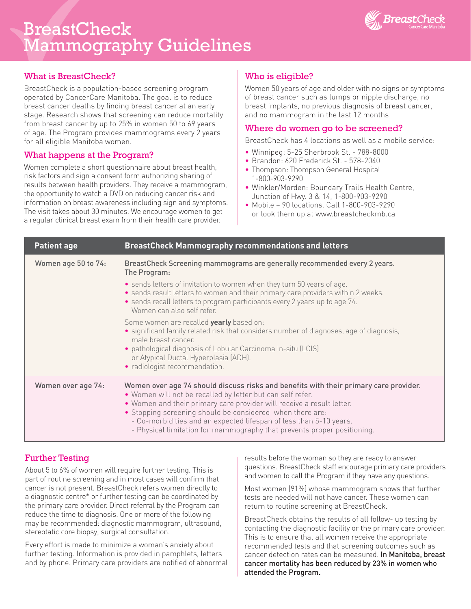

# **BreastCheck** Mammography Guidelines

# What is BreastCheck?

BreastCheck is a population-based screening program operated by CancerCare Manitoba. The goal is to reduce breast cancer deaths by finding breast cancer at an early stage. Research shows that screening can reduce mortality from breast cancer by up to 25% in women 50 to 69 years of age. The Program provides mammograms every 2 years for all eligible Manitoba women.

# What happens at the Program?

Women complete a short questionnaire about breast health, risk factors and sign a consent form authorizing sharing of results between health providers. They receive a mammogram, the opportunity to watch a DVD on reducing cancer risk and information on breast awareness including sign and symptoms. The visit takes about 30 minutes. We encourage women to get a regular clinical breast exam from their health care provider.

# Who is eligible?

Women 50 years of age and older with no signs or symptoms of breast cancer such as lumps or nipple discharge, no breast implants, no previous diagnosis of breast cancer, and no mammogram in the last 12 months

## Where do women go to be screened?

BreastCheck has 4 locations as well as a mobile service:

- • Winnipeg: 5-25 Sherbrook St. 788-8000
- • Brandon: 620 Frederick St. 578-2040
- Thompson: Thompson General Hospital 1-800-903-9290
- Winkler/Morden: Boundary Trails Health Centre, Junction of Hwy. 3 & 14, 1-800-903-9290
- Mobile 90 locations. Call 1-800-903-9290 or look them up at www.breastcheckmb.ca

| <b>Patient age</b>  | <b>BreastCheck Mammography recommendations and letters</b>                                                                                                                                                                                                                                                                                                                                                                                 |
|---------------------|--------------------------------------------------------------------------------------------------------------------------------------------------------------------------------------------------------------------------------------------------------------------------------------------------------------------------------------------------------------------------------------------------------------------------------------------|
| Women age 50 to 74: | BreastCheck Screening mammograms are generally recommended every 2 years.<br>The Program:                                                                                                                                                                                                                                                                                                                                                  |
|                     | • sends letters of invitation to women when they turn 50 years of age.<br>• sends result letters to women and their primary care providers within 2 weeks.<br>• sends recall letters to program participants every 2 years up to age 74.<br>Women can also self refer                                                                                                                                                                      |
|                     | Some women are recalled yearly based on:<br>• significant family related risk that considers number of diagnoses, age of diagnosis,<br>male breast cancer.<br>• pathological diagnosis of Lobular Carcinoma In-situ (LCIS)<br>or Atypical Ductal Hyperplasia (ADH).<br>• radiologist recommendation.                                                                                                                                       |
| Women over age 74:  | Women over age 74 should discuss risks and benefits with their primary care provider.<br>. Women will not be recalled by letter but can self refer.<br>• Women and their primary care provider will receive a result letter.<br>• Stopping screening should be considered when there are:<br>- Co-morbidities and an expected lifespan of less than 5-10 years.<br>- Physical limitation for mammography that prevents proper positioning. |

# Further Testing

About 5 to 6% of women will require further testing. This is part of routine screening and in most cases will confirm that cancer is not present. BreastCheck refers women directly to a diagnostic centre\* or further testing can be coordinated by the primary care provider. Direct referral by the Program can reduce the time to diagnosis. One or more of the following may be recommended: diagnostic mammogram, ultrasound, stereotatic core biopsy, surgical consultation.

Every effort is made to minimize a woman's anxiety about further testing. Information is provided in pamphlets, letters and by phone. Primary care providers are notified of abnormal results before the woman so they are ready to answer questions. BreastCheck staff encourage primary care providers and women to call the Program if they have any questions.

Most women (91%) whose mammogram shows that further tests are needed will not have cancer. These women can return to routine screening at BreastCheck.

BreastCheck obtains the results of all follow- up testing by contacting the diagnostic facility or the primary care provider. This is to ensure that all women receive the appropriate recommended tests and that screening outcomes such as cancer detection rates can be measured. In Manitoba, breast cancer mortality has been reduced by 23% in women who attended the Program.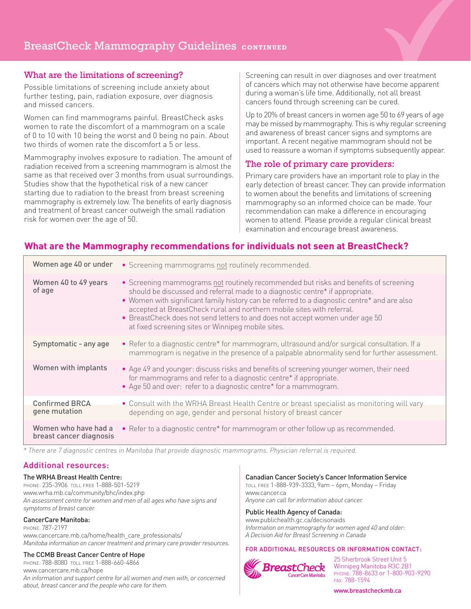# What are the limitations of screening?

Possible limitations of screening include anxiety about further testing, pain, radiation exposure, over diagnosis and missed cancers.

Women can find mammograms painful. BreastCheck asks women to rate the discomfort of a mammogram on a scale of 0 to 10 with 10 being the worst and 0 being no pain. About two thirds of women rate the discomfort a 5 or less.

Mammography involves exposure to radiation. The amount of radiation received from a screening mammogram is almost the same as that received over 3 months from usual surroundings. Studies show that the hypothetical risk of a new cancer starting due to radiation to the breast from breast screening mammography is extremely low. The benefits of early diagnosis and treatment of breast cancer outweigh the small radiation risk for women over the age of 50.

Screening can result in over diagnoses and over treatment of cancers which may not otherwise have become apparent during a woman's life time. Additionally, not all breast cancers found through screening can be cured.

Up to 20% of breast cancers in women age 50 to 69 years of age may be missed by mammography. This is why regular screening and awareness of breast cancer signs and symptoms are important. A recent negative mammogram should not be used to reassure a woman if symptoms subsequently appear.

# The role of primary care providers:

Primary care providers have an important role to play in the early detection of breast cancer. They can provide information to women about the benefits and limitations of screening mammography so an informed choice can be made. Your recommendation can make a difference in encouraging women to attend. Please provide a regular clinical breast examination and encourage breast awareness.

# **What are the Mammography recommendations for individuals not seen at BreastCheck?**

| Women age 40 or under                           | • Screening mammograms not routinely recommended.                                                                                                                                                                                                                                                                                                                                                                                                                                      |
|-------------------------------------------------|----------------------------------------------------------------------------------------------------------------------------------------------------------------------------------------------------------------------------------------------------------------------------------------------------------------------------------------------------------------------------------------------------------------------------------------------------------------------------------------|
| Women 40 to 49 years<br>of age                  | • Screening mammograms not routinely recommended but risks and benefits of screening<br>should be discussed and referral made to a diagnostic centre* if appropriate.<br>• Women with significant family history can be referred to a diagnostic centre* and are also<br>accepted at BreastCheck rural and northern mobile sites with referral.<br>• BreastCheck does not send letters to and does not accept women under age 50<br>at fixed screening sites or Winnipeg mobile sites. |
| Symptomatic - any age                           | • Refer to a diagnostic centre* for mammogram, ultrasound and/or surgical consultation. If a<br>mammogram is negative in the presence of a palpable abnormality send for further assessment.                                                                                                                                                                                                                                                                                           |
| Women with implants                             | • Age 49 and younger: discuss risks and benefits of screening younger women, their need<br>for mammograms and refer to a diagnostic centre* if appropriate.<br>• Age 50 and over: refer to a diagnostic centre* for a mammogram.                                                                                                                                                                                                                                                       |
| <b>Confirmed BRCA</b><br>gene mutation          | • Consult with the WRHA Breast Health Centre or breast specialist as monitoring will vary<br>depending on age, gender and personal history of breast cancer                                                                                                                                                                                                                                                                                                                            |
| Women who have had a<br>breast cancer diagnosis | • Refer to a diagnostic centre* for mammogram or other follow up as recommended.                                                                                                                                                                                                                                                                                                                                                                                                       |

*\* There are 7 diagnostic centres in Manitoba that provide diagnostic mammograms. Physician referral is required.*

# Additional resources:

#### The WRHA Breast Health Centre:

Phone: 235-3906 Toll Free 1-888-501-5219 www.wrha.mb.ca/community/bhc/index.php *An assessment centre for women and men of all ages who have signs and symptoms of breast cancer.*

#### CancerCare Manitoba:

Phone: 787-2197

www.cancercare.mb.ca/home/health\_care\_professionals/ *Manitoba information on cancer treatment and primary care provider resources.* 

#### The CCMB Breast Cancer Centre of Hope

Phone: 788-8080 Toll Free 1-888-660-4866 www.cancercare.mb.ca/hope *An information and support centre for all women and men with, or concerned about, breast cancer and the people who care for them.*

Canadian Cancer Society's Cancer Information Service Toll Free 1-888-939-3333, 9am – 6pm, Monday – Friday www.cancer.ca *Anyone can call for information about cancer.*

#### Public Health Agency of Canada:

www.publichealth.gc.ca/decisonaids *Information on mammography for women aged 40 and older: A Decision Aid for Breast Screening in Canada* 

## For additional resources or information contact:



25 Sherbrook Street Unit 5 Winnipeg Manitoba R3C 2B1 phone: 788-8633 or 1-800-903-9290 Fax: 788-1594

www.breastcheckmb.ca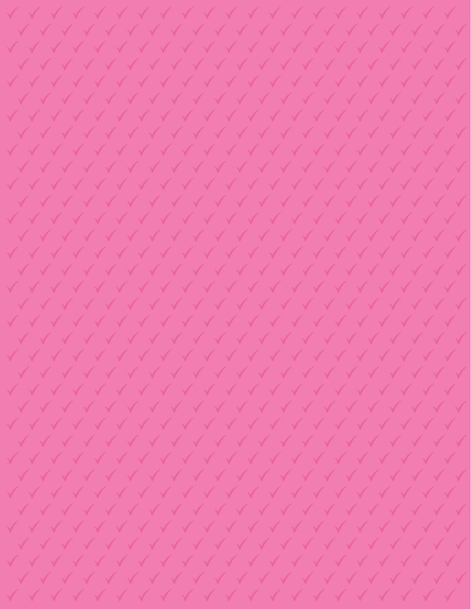